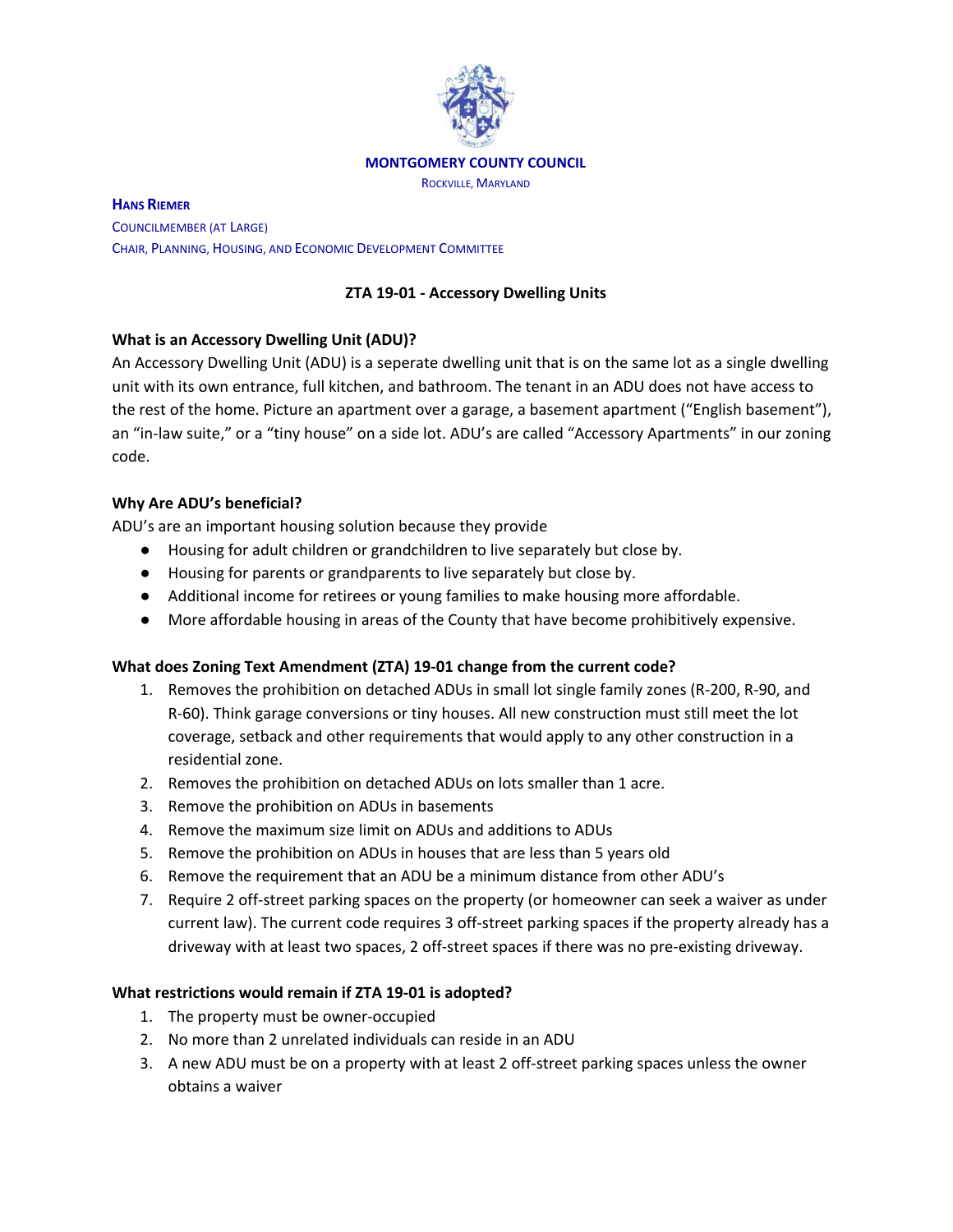

#### **MONTGOMERY COUNTY COUNCIL**

ROCKVILLE, MARYLAND

**HANS RIEMER** COUNCILMEMBER (AT LARGE) CHAIR, PLANNING, HOUSING, AND ECONOMIC DEVELOPMENT COMMITTEE

## **ZTA 19-01 - Accessory Dwelling Units**

### **What is an Accessory Dwelling Unit (ADU)?**

An Accessory Dwelling Unit (ADU) is a seperate dwelling unit that is on the same lot as a single dwelling unit with its own entrance, full kitchen, and bathroom. The tenant in an ADU does not have access to the rest of the home. Picture an apartment over a garage, a basement apartment ("English basement"), an "in-law suite," or a "tiny house" on a side lot. ADU's are called "Accessory Apartments" in our zoning code.

## **Why Are ADU's beneficial?**

ADU's are an important housing solution because they provide

- Housing for adult children or grandchildren to live separately but close by.
- Housing for parents or grandparents to live separately but close by.
- Additional income for retirees or young families to make housing more affordable.
- More affordable housing in areas of the County that have become prohibitively expensive.

### **What does Zoning Text Amendment (ZTA) 19-01 change from the current code?**

- 1. Removes the prohibition on detached ADUs in small lot single family zones (R-200, R-90, and R-60). Think garage conversions or tiny houses. All new construction must still meet the lot coverage, setback and other requirements that would apply to any other construction in a residential zone.
- 2. Removes the prohibition on detached ADUs on lots smaller than 1 acre.
- 3. Remove the prohibition on ADUs in basements
- 4. Remove the maximum size limit on ADUs and additions to ADUs
- 5. Remove the prohibition on ADUs in houses that are less than 5 years old
- 6. Remove the requirement that an ADU be a minimum distance from other ADU's
- 7. Require 2 off-street parking spaces on the property (or homeowner can seek a waiver as under current law). The current code requires 3 off-street parking spaces if the property already has a driveway with at least two spaces, 2 off-street spaces if there was no pre-existing driveway.

### **What restrictions would remain if ZTA 19-01 is adopted?**

- 1. The property must be owner-occupied
- 2. No more than 2 unrelated individuals can reside in an ADU
- 3. A new ADU must be on a property with at least 2 off-street parking spaces unless the owner obtains a waiver